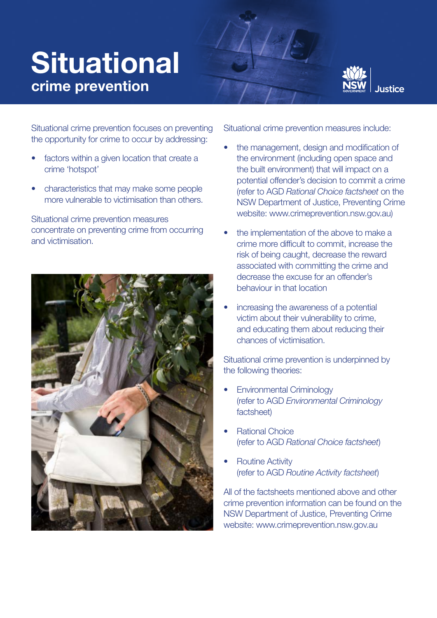## **Situational** crime prevention



Situational crime prevention focuses on preventing the opportunity for crime to occur by addressing:

- factors within a given location that create a crime 'hotspot'
- characteristics that may make some people more vulnerable to victimisation than others.

Situational crime prevention measures concentrate on preventing crime from occurring and victimisation.



Situational crime prevention measures include:

- the management, design and modification of the environment (including open space and the built environment) that will impact on a potential offender's decision to commit a crime (refer to AGD *Rational Choice factsheet* on the NSW Department of Justice, Preventing Crime website: www.crimeprevention.nsw.gov.au)
- the implementation of the above to make a crime more difficult to commit, increase the risk of being caught, decrease the reward associated with committing the crime and decrease the excuse for an offender's behaviour in that location
- increasing the awareness of a potential victim about their vulnerability to crime, and educating them about reducing their chances of victimisation.

Situational crime prevention is underpinned by the following theories:

- Environmental Criminology (refer to AGD *Environmental Criminology* factsheet)
- Rational Choice (refer to AGD *Rational Choice factsheet*)
- **Routine Activity** (refer to AGD *Routine Activity factsheet*)

All of the factsheets mentioned above and other crime prevention information can be found on the NSW Department of Justice, Preventing Crime website: www.crimeprevention.nsw.gov.au